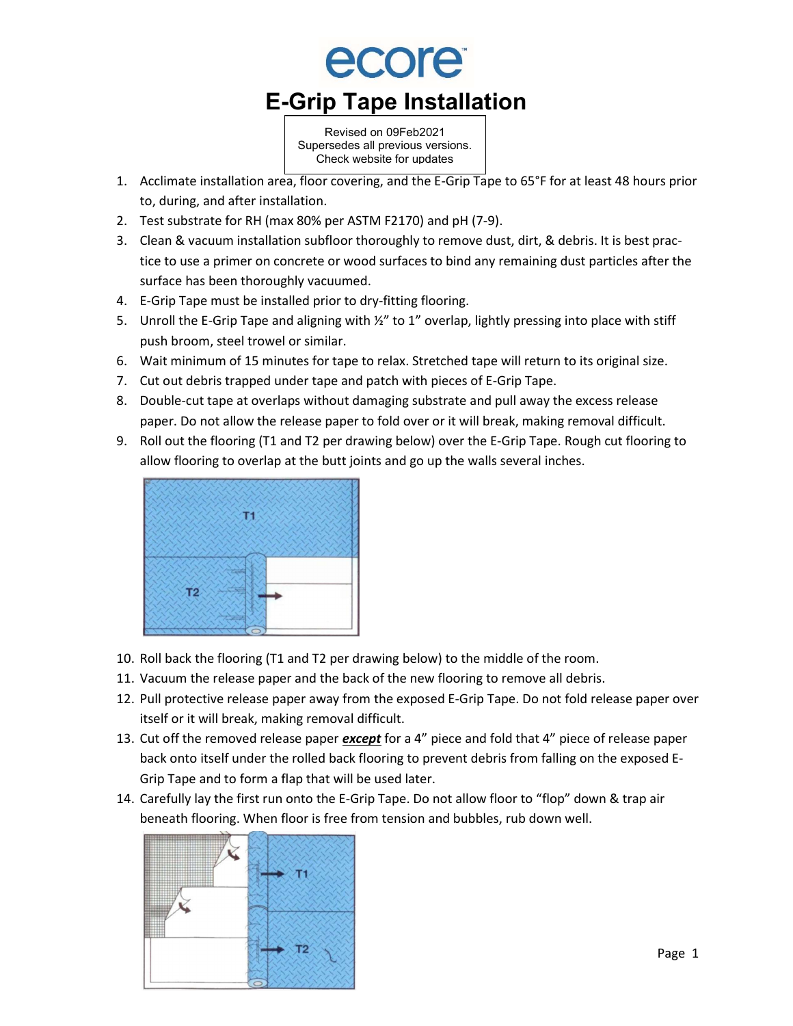

Revised on 09Feb2021 Supersedes all previous versions. Check website for updates

- 1. Acclimate installation area, floor covering, and the E-Grip Tape to 65°F for at least 48 hours prior to, during, and after installation.
- 2. Test substrate for RH (max 80% per ASTM F2170) and pH (7-9).
- 3. Clean & vacuum installation subfloor thoroughly to remove dust, dirt, & debris. It is best practice to use a primer on concrete or wood surfaces to bind any remaining dust particles after the surface has been thoroughly vacuumed.
- 4. E-Grip Tape must be installed prior to dry-fitting flooring.
- 5. Unroll the E-Grip Tape and aligning with  $\frac{1}{2}$ " to 1" overlap, lightly pressing into place with stiff push broom, steel trowel or similar.
- 6. Wait minimum of 15 minutes for tape to relax. Stretched tape will return to its original size.
- 7. Cut out debris trapped under tape and patch with pieces of E-Grip Tape.
- 8. Double-cut tape at overlaps without damaging substrate and pull away the excess release paper. Do not allow the release paper to fold over or it will break, making removal difficult.
- 9. Roll out the flooring (T1 and T2 per drawing below) over the E-Grip Tape. Rough cut flooring to allow flooring to overlap at the butt joints and go up the walls several inches.



- 10. Roll back the flooring (T1 and T2 per drawing below) to the middle of the room.
- 11. Vacuum the release paper and the back of the new flooring to remove all debris.
- 12. Pull protective release paper away from the exposed E-Grip Tape. Do not fold release paper over itself or it will break, making removal difficult.
- 13. Cut off the removed release paper *except* for a 4" piece and fold that 4" piece of release paper back onto itself under the rolled back flooring to prevent debris from falling on the exposed E-Grip Tape and to form a flap that will be used later.
- 14. Carefully lay the first run onto the E-Grip Tape. Do not allow floor to "flop" down & trap air beneath flooring. When floor is free from tension and bubbles, rub down well.